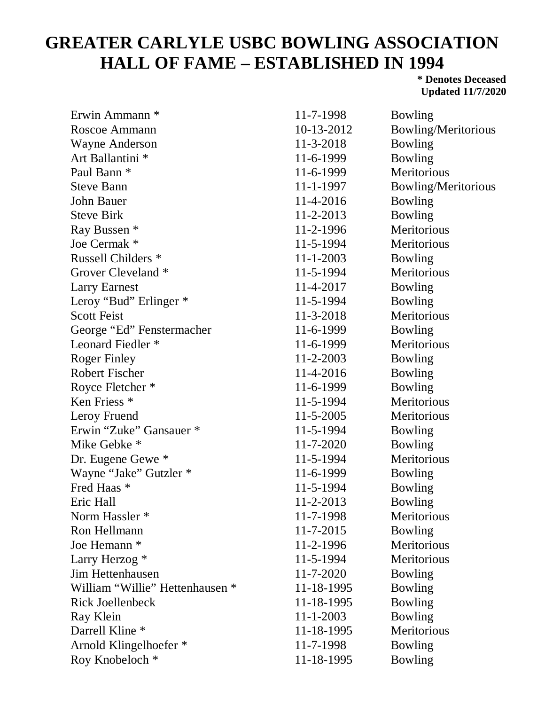## **GREATER CARLYLE USBC BOWLING ASSOCIATION HALL OF FAME – ESTABLISHED IN 1994**

**\* Denotes Deceased Updated 11/7/2020**

| Erwin Ammann *                  | 11-7-1998       | Bowling             |
|---------------------------------|-----------------|---------------------|
| Roscoe Ammann                   | 10-13-2012      | Bowling/Meritorious |
| <b>Wayne Anderson</b>           | 11-3-2018       | Bowling             |
| Art Ballantini <sup>*</sup>     | 11-6-1999       | Bowling             |
| Paul Bann <sup>*</sup>          | 11-6-1999       | Meritorious         |
| <b>Steve Bann</b>               | 11-1-1997       | Bowling/Meritorious |
| John Bauer                      | 11-4-2016       | Bowling             |
| <b>Steve Birk</b>               | 11-2-2013       | Bowling             |
| Ray Bussen *                    | 11-2-1996       | Meritorious         |
| Joe Cermak *                    | 11-5-1994       | Meritorious         |
| Russell Childers <sup>*</sup>   | $11 - 1 - 2003$ | Bowling             |
| Grover Cleveland *              | 11-5-1994       | Meritorious         |
| <b>Larry Earnest</b>            | 11-4-2017       | Bowling             |
| Leroy "Bud" Erlinger *          | 11-5-1994       | Bowling             |
| <b>Scott Feist</b>              | 11-3-2018       | Meritorious         |
| George "Ed" Fenstermacher       | 11-6-1999       | Bowling             |
| Leonard Fiedler <sup>*</sup>    | 11-6-1999       | Meritorious         |
| <b>Roger Finley</b>             | 11-2-2003       | Bowling             |
| <b>Robert Fischer</b>           | 11-4-2016       | Bowling             |
| Royce Fletcher *                | 11-6-1999       | Bowling             |
| Ken Friess <sup>*</sup>         | 11-5-1994       | Meritorious         |
| Leroy Fruend                    | $11 - 5 - 2005$ | Meritorious         |
| Erwin "Zuke" Gansauer *         | 11-5-1994       | Bowling             |
| Mike Gebke *                    | 11-7-2020       | Bowling             |
| Dr. Eugene Gewe *               | 11-5-1994       | Meritorious         |
| Wayne "Jake" Gutzler *          | 11-6-1999       | Bowling             |
| Fred Haas *                     | 11-5-1994       | Bowling             |
| Eric Hall                       | 11-2-2013       | Bowling             |
| Norm Hassler <sup>*</sup>       | 11-7-1998       | Meritorious         |
| Ron Hellmann                    | 11-7-2015       | Bowling             |
| Joe Hemann *                    | 11-2-1996       | Meritorious         |
| Larry Herzog *                  | 11-5-1994       | Meritorious         |
| <b>Jim Hettenhausen</b>         | 11-7-2020       | Bowling             |
| William "Willie" Hettenhausen * | 11-18-1995      | Bowling             |
| <b>Rick Joellenbeck</b>         | 11-18-1995      | Bowling             |
| Ray Klein                       | $11 - 1 - 2003$ | Bowling             |
| Darrell Kline <sup>*</sup>      | 11-18-1995      | Meritorious         |
| Arnold Klingelhoefer *          | 11-7-1998       | Bowling             |
| Roy Knobeloch *                 | 11-18-1995      | <b>Bowling</b>      |